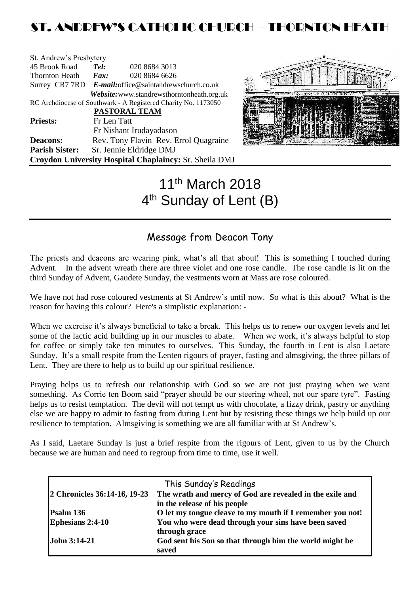## ST. ANDREW'S CATHOLIC CHURCH – THORNTON HEATH

| St. Andrew's Presbytery |                                                        |                                                                |  |  |  |
|-------------------------|--------------------------------------------------------|----------------------------------------------------------------|--|--|--|
| 45 Brook Road           | Tel:                                                   | 020 8684 3013                                                  |  |  |  |
| <b>Thornton Heath</b>   | $\boldsymbol{Fax:}$                                    | 020 8684 6626                                                  |  |  |  |
|                         | Surrey CR7 7RD E-mail: office@saintandrewschurch.co.uk |                                                                |  |  |  |
|                         |                                                        | Website: www.standrewsthorntonheath.org.uk                     |  |  |  |
|                         |                                                        | RC Archdiocese of Southwark - A Registered Charity No. 1173050 |  |  |  |
|                         |                                                        | PASTORAL TEAM                                                  |  |  |  |
| <b>Priests:</b>         | Fr Len Tatt                                            |                                                                |  |  |  |
|                         |                                                        | Fr Nishant Irudayadason                                        |  |  |  |
| <b>Deacons:</b>         | Rev. Tony Flavin Rev. Errol Quagraine                  |                                                                |  |  |  |
| <b>Parish Sister:</b>   |                                                        | Sr. Jennie Eldridge DMJ                                        |  |  |  |
|                         |                                                        | Croydon University Hospital Chaplaincy: Sr. Sheila DMJ         |  |  |  |



# 11th March 2018 4<sup>th</sup> Sunday of Lent (B)

## Message from Deacon Tony

The priests and deacons are wearing pink, what's all that about! This is something I touched during Advent. In the advent wreath there are three violet and one rose candle. The rose candle is lit on the third Sunday of Advent, Gaudete Sunday, the vestments worn at Mass are rose coloured.

We have not had rose coloured vestments at St Andrew's until now. So what is this about? What is the reason for having this colour? Here's a simplistic explanation: -

When we exercise it's always beneficial to take a break. This helps us to renew our oxygen levels and let some of the lactic acid building up in our muscles to abate. When we work, it's always helpful to stop for coffee or simply take ten minutes to ourselves. This Sunday, the fourth in Lent is also Laetare Sunday. It's a small respite from the Lenten rigours of prayer, fasting and almsgiving, the three pillars of Lent. They are there to help us to build up our spiritual resilience.

Praying helps us to refresh our relationship with God so we are not just praying when we want something. As Corrie ten Boom said "prayer should be our steering wheel, not our spare tyre". Fasting helps us to resist temptation. The devil will not tempt us with chocolate, a fizzy drink, pastry or anything else we are happy to admit to fasting from during Lent but by resisting these things we help build up our resilience to temptation. Almsgiving is something we are all familiar with at St Andrew's.

As I said, Laetare Sunday is just a brief respite from the rigours of Lent, given to us by the Church because we are human and need to regroup from time to time, use it well.

| This Sunday's Readings       |                                                           |  |  |  |
|------------------------------|-----------------------------------------------------------|--|--|--|
| 2 Chronicles 36:14-16, 19-23 | The wrath and mercy of God are revealed in the exile and  |  |  |  |
|                              | in the release of his people                              |  |  |  |
| Psalm 136                    | O let my tongue cleave to my mouth if I remember you not! |  |  |  |
| <b>Ephesians 2:4-10</b>      | You who were dead through your sins have been saved       |  |  |  |
|                              | through grace                                             |  |  |  |
| John 3:14-21                 | God sent his Son so that through him the world might be   |  |  |  |
|                              | saved                                                     |  |  |  |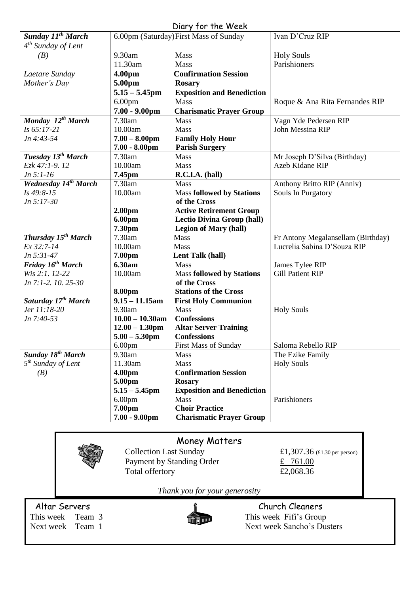| Diary for the Week               |                              |                                        |                                    |  |  |  |
|----------------------------------|------------------------------|----------------------------------------|------------------------------------|--|--|--|
| Sunday 11 <sup>th</sup> March    |                              | 6.00pm (Saturday) First Mass of Sunday | Ivan D'Cruz RIP                    |  |  |  |
| $4th$ Sunday of Lent             |                              |                                        |                                    |  |  |  |
| (B)                              | 9.30am                       | Mass                                   | <b>Holy Souls</b>                  |  |  |  |
|                                  | 11.30am                      | Mass                                   | Parishioners                       |  |  |  |
| Laetare Sunday                   | 4.00pm                       | <b>Confirmation Session</b>            |                                    |  |  |  |
| Mother's Day                     | 5.00pm                       | <b>Rosary</b>                          |                                    |  |  |  |
|                                  | $5.15 - 5.45$ pm             | <b>Exposition and Benediction</b>      |                                    |  |  |  |
|                                  | 6.00 <sub>pm</sub>           | Mass                                   | Roque & Ana Rita Fernandes RIP     |  |  |  |
|                                  | $7.00 - 9.00$ pm             | <b>Charismatic Prayer Group</b>        |                                    |  |  |  |
| Monday 12 <sup>th</sup> March    | 7.30am                       | Mass                                   | Vagn Yde Pedersen RIP              |  |  |  |
| Is 65:17-21                      | 10.00am                      | Mass                                   | John Messina RIP                   |  |  |  |
| Jn 4:43-54                       | $7.00 - 8.00$ pm             | <b>Family Holy Hour</b>                |                                    |  |  |  |
|                                  | $7.00 - 8.00$ pm             | <b>Parish Surgery</b>                  |                                    |  |  |  |
| Tuesday 13 <sup>th</sup> March   | 7.30am                       | Mass                                   | Mr Joseph D'Silva (Birthday)       |  |  |  |
| Ezk 47:1-9.12                    | 10.00am                      | <b>Mass</b>                            | Azeb Kidane RIP                    |  |  |  |
| $Jn 5:1-16$                      | 7.45pm                       | R.C.I.A. (hall)                        |                                    |  |  |  |
| Wednesday 14 <sup>th</sup> March | 7.30am                       | Mass                                   | Anthony Britto RIP (Anniv)         |  |  |  |
| Is 49:8-15                       | 10.00am                      | <b>Mass followed by Stations</b>       | Souls In Purgatory                 |  |  |  |
| $Jn 5:17-30$                     |                              | of the Cross                           |                                    |  |  |  |
|                                  | 2.00 <sub>pm</sub>           | <b>Active Retirement Group</b>         |                                    |  |  |  |
|                                  | 6.00pm                       | <b>Lectio Divina Group (hall)</b>      |                                    |  |  |  |
|                                  | 7.30pm                       | <b>Legion of Mary (hall)</b>           |                                    |  |  |  |
| Thursday 15 <sup>th</sup> March  | 7.30am                       | Mass                                   | Fr Antony Megalansellam (Birthday) |  |  |  |
| Ex 32:7-14                       | 10.00am                      | Mass                                   | Lucrelia Sabina D'Souza RIP        |  |  |  |
| Jn 5:31-47                       | 7.00pm                       | Lent Talk (hall)                       |                                    |  |  |  |
| Friday 16 <sup>th</sup> March    | 6.30am                       | Mass                                   | James Tylee RIP                    |  |  |  |
| Wis 2:1. 12-22                   | 10.00am                      | <b>Mass followed by Stations</b>       | <b>Gill Patient RIP</b>            |  |  |  |
| Jn 7:1-2. 10. 25-30              |                              | of the Cross                           |                                    |  |  |  |
|                                  | 8.00pm                       | <b>Stations of the Cross</b>           |                                    |  |  |  |
| Saturday 17 <sup>th</sup> March  | $\overline{9.15 - 11.15}$ am | <b>First Holy Communion</b>            |                                    |  |  |  |
| Jer 11:18-20                     | 9.30am                       | Mass                                   | <b>Holy Souls</b>                  |  |  |  |
| Jn 7:40-53                       | $10.00 - 10.30$ am           | <b>Confessions</b>                     |                                    |  |  |  |
|                                  | $12.00 - 1.30$ pm            | <b>Altar Server Training</b>           |                                    |  |  |  |
|                                  | $5.00 - 5.30$ pm             | <b>Confessions</b>                     |                                    |  |  |  |
|                                  | 6.00 <sub>pm</sub>           | <b>First Mass of Sunday</b>            | Saloma Rebello RIP                 |  |  |  |
| Sunday 18 <sup>th</sup> March    | 9.30am                       | <b>Mass</b>                            | The Ezike Family                   |  |  |  |
| $5th$ Sunday of Lent             | 11.30am                      | <b>Mass</b>                            | <b>Holy Souls</b>                  |  |  |  |
| (B)                              | 4.00pm                       | <b>Confirmation Session</b>            |                                    |  |  |  |
|                                  | 5.00pm                       | <b>Rosary</b>                          |                                    |  |  |  |
|                                  | $5.15 - 5.45$ pm             | <b>Exposition and Benediction</b>      |                                    |  |  |  |
|                                  | 6.00 <sub>pm</sub>           | Mass                                   | Parishioners                       |  |  |  |
|                                  | 7.00pm                       | <b>Choir Practice</b>                  |                                    |  |  |  |
|                                  | $7.00 - 9.00$ pm             | <b>Charismatic Prayer Group</b>        |                                    |  |  |  |
|                                  |                              |                                        |                                    |  |  |  |

## Money Matters



Collection Last Sunday  $\begin{array}{r} \text{£}1,307.36 \text{ (£1.30 per person)} \\ \text{Payment by Standing Order} \end{array}$ Payment by Standing Order<br>
Total offertory<br>  $\frac{\text{£}}{\text{£2,068.36}}$ Total offertory

*Thank you for your generosity*



Altar Servers<br>
This week Team 3 This week Fifi's Group This week Team 3 This week Fifi's Group Next week Team 1 Next week Sancho's Dusters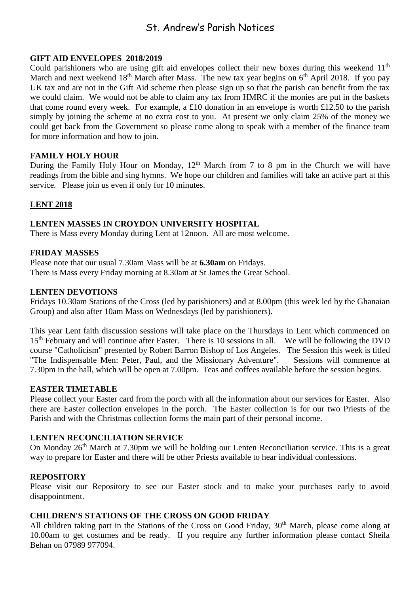### St. Andrew's Parish Notices

#### **GIFT AID ENVELOPES 2018/2019**

Could parishioners who are using gift aid envelopes collect their new boxes during this weekend 11<sup>th</sup> March and next weekend  $18<sup>th</sup>$  March after Mass. The new tax year begins on  $6<sup>th</sup>$  April 2018. If you pay UK tax and are not in the Gift Aid scheme then please sign up so that the parish can benefit from the tax we could claim. We would not be able to claim any tax from HMRC if the monies are put in the baskets that come round every week. For example, a £10 donation in an envelope is worth £12.50 to the parish simply by joining the scheme at no extra cost to you. At present we only claim 25% of the money we could get back from the Government so please come along to speak with a member of the finance team for more information and how to join.

#### **FAMILY HOLY HOUR**

During the Family Holy Hour on Monday,  $12<sup>th</sup>$  March from 7 to 8 pm in the Church we will have readings from the bible and sing hymns. We hope our children and families will take an active part at this service. Please join us even if only for 10 minutes.

#### **LENT 2018**

#### **LENTEN MASSES IN CROYDON UNIVERSITY HOSPITAL**

There is Mass every Monday during Lent at 12noon. All are most welcome.

#### **FRIDAY MASSES**

Please note that our usual 7.30am Mass will be at **6.30am** on Fridays. There is Mass every Friday morning at 8.30am at St James the Great School.

#### **LENTEN DEVOTIONS**

Fridays 10.30am Stations of the Cross (led by parishioners) and at 8.00pm (this week led by the Ghanaian Group) and also after 10am Mass on Wednesdays (led by parishioners).

This year Lent faith discussion sessions will take place on the Thursdays in Lent which commenced on 15<sup>th</sup> February and will continue after Easter. There is 10 sessions in all. We will be following the DVD course "Catholicism" presented by Robert Barron Bishop of Los Angeles. The Session this week is titled "The Indispensable Men: Peter, Paul, and the Missionary Adventure". Sessions will commence at 7.30pm in the hall, which will be open at 7.00pm. Teas and coffees available before the session begins.

#### **EASTER TIMETABLE**

Please collect your Easter card from the porch with all the information about our services for Easter. Also there are Easter collection envelopes in the porch. The Easter collection is for our two Priests of the Parish and with the Christmas collection forms the main part of their personal income.

#### **LENTEN RECONCILIATION SERVICE**

On Monday 26<sup>th</sup> March at 7.30pm we will be holding our Lenten Reconciliation service. This is a great way to prepare for Easter and there will be other Priests available to hear individual confessions.

#### **REPOSITORY**

Please visit our Repository to see our Easter stock and to make your purchases early to avoid disappointment.

#### **CHILDREN'S STATIONS OF THE CROSS ON GOOD FRIDAY**

All children taking part in the Stations of the Cross on Good Friday, 30<sup>th</sup> March, please come along at 10.00am to get costumes and be ready. If you require any further information please contact Sheila Behan on 07989 977094.